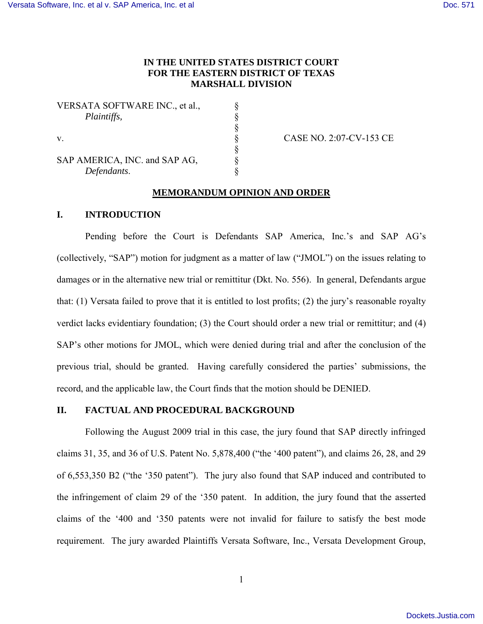# **IN THE UNITED STATES DISTRICT COURT FOR THE EASTERN DISTRICT OF TEXAS MARSHALL DIVISION**

VERSATA SOFTWARE INC., et al.,  $\S$ 

§

*Plaintiffs,*<br>
§<br>
§<br>
S<br>
S<br>
MERICA, INC. and SAP AG,<br> *Pefendants*. § SAP AMERICA, INC. and SAP AG, *Defendants*. §

v. § CASE NO. 2:07-CV-153 CE

## **MEMORANDUM OPINION AND ORDER**

## **I. INTRODUCTION**

Pending before the Court is Defendants SAP America, Inc.'s and SAP AG's (collectively, "SAP") motion for judgment as a matter of law ("JMOL") on the issues relating to damages or in the alternative new trial or remittitur (Dkt. No. 556). In general, Defendants argue that: (1) Versata failed to prove that it is entitled to lost profits; (2) the jury's reasonable royalty verdict lacks evidentiary foundation; (3) the Court should order a new trial or remittitur; and (4) SAP's other motions for JMOL, which were denied during trial and after the conclusion of the previous trial, should be granted. Having carefully considered the parties' submissions, the record, and the applicable law, the Court finds that the motion should be DENIED.

## **II. FACTUAL AND PROCEDURAL BACKGROUND**

Following the August 2009 trial in this case, the jury found that SAP directly infringed claims 31, 35, and 36 of U.S. Patent No.  $5,878,400$  ("the '400 patent"), and claims 26, 28, and 29 of 6,553,350 B2 ("the '350 patent"). The jury also found that SAP induced and contributed to the infringement of claim 29 of the ‗350 patent. In addition, the jury found that the asserted claims of the ‗400 and ‗350 patents were not invalid for failure to satisfy the best mode requirement. The jury awarded Plaintiffs Versata Software, Inc., Versata Development Group,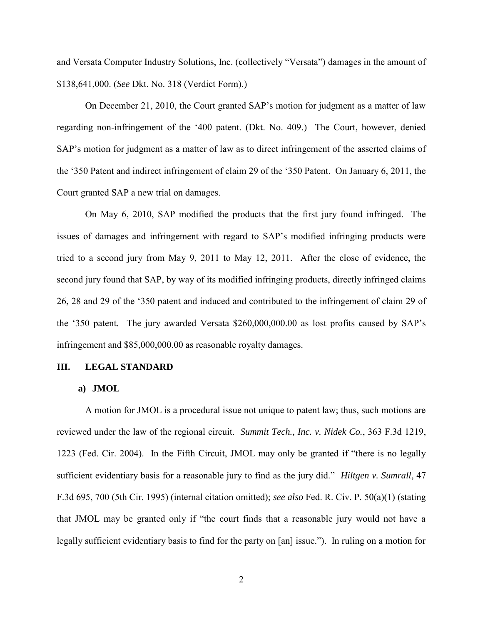and Versata Computer Industry Solutions, Inc. (collectively "Versata") damages in the amount of \$138,641,000. (*See* Dkt. No. 318 (Verdict Form).)

On December 21, 2010, the Court granted SAP's motion for judgment as a matter of law regarding non-infringement of the ‗400 patent. (Dkt. No. 409.) The Court, however, denied SAP's motion for judgment as a matter of law as to direct infringement of the asserted claims of the '350 Patent and indirect infringement of claim 29 of the '350 Patent. On January 6, 2011, the Court granted SAP a new trial on damages.

On May 6, 2010, SAP modified the products that the first jury found infringed. The issues of damages and infringement with regard to SAP's modified infringing products were tried to a second jury from May 9, 2011 to May 12, 2011. After the close of evidence, the second jury found that SAP, by way of its modified infringing products, directly infringed claims 26, 28 and 29 of the ‗350 patent and induced and contributed to the infringement of claim 29 of the ‗350 patent. The jury awarded Versata \$260,000,000.00 as lost profits caused by SAP's infringement and \$85,000,000.00 as reasonable royalty damages.

#### **III. LEGAL STANDARD**

#### **a) JMOL**

A motion for JMOL is a procedural issue not unique to patent law; thus, such motions are reviewed under the law of the regional circuit. *Summit Tech., Inc. v. Nidek Co.*, 363 F.3d 1219, 1223 (Fed. Cir. 2004). In the Fifth Circuit, JMOL may only be granted if "there is no legally sufficient evidentiary basis for a reasonable jury to find as the jury did." *Hiltgen v. Sumrall*, 47 F.3d 695, 700 (5th Cir. 1995) (internal citation omitted); *see also* Fed. R. Civ. P. 50(a)(1) (stating that JMOL may be granted only if "the court finds that a reasonable jury would not have a legally sufficient evidentiary basis to find for the party on [an] issue."). In ruling on a motion for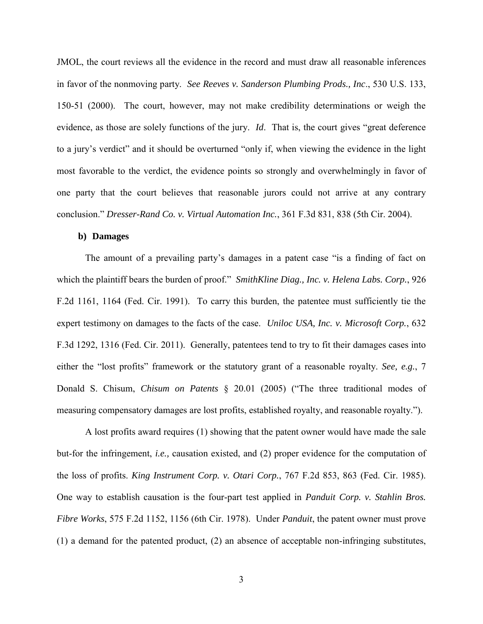JMOL, the court reviews all the evidence in the record and must draw all reasonable inferences in favor of the nonmoving party. *See Reeves v. Sanderson Plumbing Prods., Inc*., 530 U.S. 133, 150-51 (2000). The court, however, may not make credibility determinations or weigh the evidence, as those are solely functions of the jury.  $Id$ . That is, the court gives "great deference" to a jury's verdict" and it should be overturned "only if, when viewing the evidence in the light most favorable to the verdict, the evidence points so strongly and overwhelmingly in favor of one party that the court believes that reasonable jurors could not arrive at any contrary conclusion.‖ *Dresser-Rand Co. v. Virtual Automation Inc.*, 361 F.3d 831, 838 (5th Cir. 2004).

## **b) Damages**

The amount of a prevailing party's damages in a patent case "is a finding of fact on which the plaintiff bears the burden of proof." *SmithKline Diag., Inc. v. Helena Labs. Corp.*, 926 F.2d 1161, 1164 (Fed. Cir. 1991). To carry this burden, the patentee must sufficiently tie the expert testimony on damages to the facts of the case. *Uniloc USA, Inc. v. Microsoft Corp.*, 632 F.3d 1292, 1316 (Fed. Cir. 2011). Generally, patentees tend to try to fit their damages cases into either the "lost profits" framework or the statutory grant of a reasonable royalty. *See, e.g.*, 7 Donald S. Chisum, *[Chisum on Patents](https://www.lexis.com/research/buttonTFLink?_m=cc332e7cce842864bef08f8715178188&_xfercite=%3ccite%20cc%3d%22USA%22%3e%3c%21%5bCDATA%5b527%20F.3d%201359%5d%5d%3e%3c%2fcite%3e&_butType=4&_butStat=0&_butNum=92&_butInline=1&_butinfo=CHISUM%20ON%20PATENTS%2020.01&_fmtstr=FULL&docnum=11&_startdoc=1&wchp=dGLbVzt-zSkAb&_md5=dc4211d0dbc29c0aebdb429fff0fbb6a)* § 20.01 (2005) ("The three traditional modes of measuring compensatory damages are lost profits, established royalty, and reasonable royalty.").

A lost profits award requires (1) showing that the patent owner would have made the sale but-for the infringement, *i.e.,* causation existed, and (2) proper evidence for the computation of the loss of profits. *King Instrument Corp. v. Otari Corp.*, 767 F.2d 853, 863 (Fed. Cir. 1985). One way to establish causation is the four-part test applied in *Panduit Corp. v. Stahlin Bros. Fibre Works*, 575 F.2d 1152, 1156 (6th Cir. 1978). Under *Panduit*, the patent owner must prove (1) a demand for the patented product, (2) an absence of acceptable non-infringing substitutes,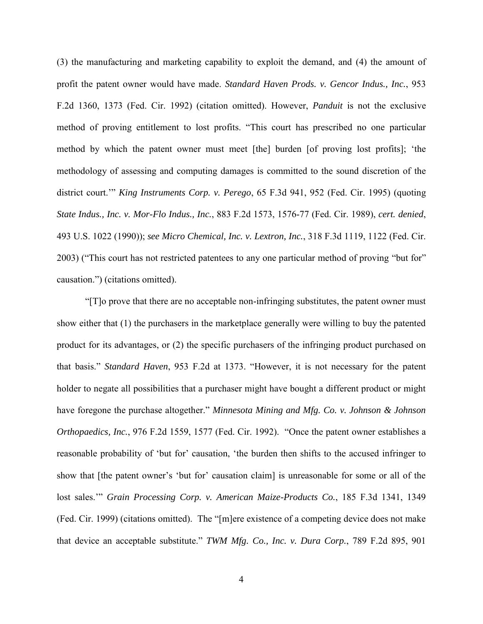(3) the manufacturing and marketing capability to exploit the demand, and (4) the amount of profit the patent owner would have made. *Standard Haven Prods. v. Gencor Indus., Inc.*, 953 F.2d 1360, 1373 (Fed. Cir. 1992) (citation omitted). However, *Panduit* is not the exclusive method of proving entitlement to lost profits. "This court has prescribed no one particular method by which the patent owner must meet [the] burden [of proving lost profits]; ‗the methodology of assessing and computing damages is committed to the sound discretion of the district court." *King Instruments Corp. v. Perego*, 65 F.3d 941, 952 (Fed. Cir. 1995) (quoting *State Indus., Inc. v. Mor-Flo Indus., Inc.*, 883 F.2d 1573, 1576-77 (Fed. Cir. 1989), *cert. denied*, 493 U.S. 1022 (1990)); *see Micro Chemical, Inc. v. Lextron, Inc.*, 318 F.3d 1119, 1122 (Fed. Cir. 2003) ("This court has not restricted patentees to any one particular method of proving "but for" causation.‖) (citations omitted).

―[T]o prove that there are no acceptable non-infringing substitutes, the patent owner must show either that (1) the purchasers in the marketplace generally were willing to buy the patented product for its advantages, or (2) the specific purchasers of the infringing product purchased on that basis." *Standard Haven*, 953 F.2d at 1373. "However, it is not necessary for the patent holder to negate all possibilities that a purchaser might have bought a different product or might have foregone the purchase altogether." *Minnesota Mining and Mfg. Co. v. Johnson & Johnson Orthopaedics, Inc.*, 976 F.2d 1559, 1577 (Fed. Cir. 1992). "Once the patent owner establishes a reasonable probability of 'but for' causation, 'the burden then shifts to the accused infringer to show that [the patent owner's 'but for' causation claim] is unreasonable for some or all of the lost sales." *Grain Processing Corp. v. American Maize-Products Co.*, 185 F.3d 1341, 1349 (Fed. Cir. 1999) (citations omitted). The "[m]ere existence of a competing device does not make that device an acceptable substitute." *TWM Mfg. Co., Inc. v. Dura Corp.*, 789 F.2d 895, 901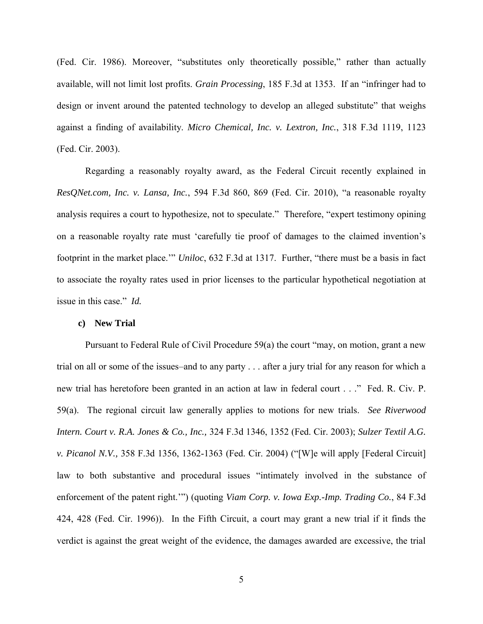(Fed. Cir. 1986). Moreover, "substitutes only theoretically possible," rather than actually available, will not limit lost profits. *Grain Processing*, 185 F.3d at 1353. If an "infringer had to design or invent around the patented technology to develop an alleged substitute" that weighs against a finding of availability. *Micro Chemical, Inc. v. Lextron, Inc.*, 318 F.3d 1119, 1123 (Fed. Cir. 2003).

Regarding a reasonably royalty award, as the Federal Circuit recently explained in *ResQNet.com, Inc. v. Lansa, Inc.*, 594 F.3d 860, 869 (Fed. Cir. 2010), "a reasonable royalty analysis requires a court to hypothesize, not to speculate." Therefore, "expert testimony opining on a reasonable royalty rate must ‗carefully tie proof of damages to the claimed invention's footprint in the market place.'" *Uniloc*, 632 F.3d at 1317. Further, "there must be a basis in fact to associate the royalty rates used in prior licenses to the particular hypothetical negotiation at issue in this case." *Id.* 

## **c) New Trial**

Pursuant to Federal Rule of Civil Procedure  $59(a)$  the court "may, on motion, grant a new trial on all or some of the issues–and to any party . . . after a jury trial for any reason for which a new trial has heretofore been granted in an action at law in federal court . . ." Fed. R. Civ. P. 59(a). The regional circuit law generally applies to motions for new trials. *See Riverwood Intern. Court v. R.A. Jones & Co., Inc.,* 324 F.3d 1346, 1352 (Fed. Cir. 2003); *Sulzer Textil A.G. v. Picanol N.V.*, 358 F.3d 1356, 1362-1363 (Fed. Cir. 2004) ("[W]e will apply [Federal Circuit] law to both substantive and procedural issues "intimately involved in the substance of enforcement of the patent right."") (quoting *Viam Corp. v. Iowa Exp.-Imp. Trading Co.*, 84 F.3d 424, 428 (Fed. Cir. 1996)). In the Fifth Circuit, a court may grant a new trial if it finds the verdict is against the great weight of the evidence, the damages awarded are excessive, the trial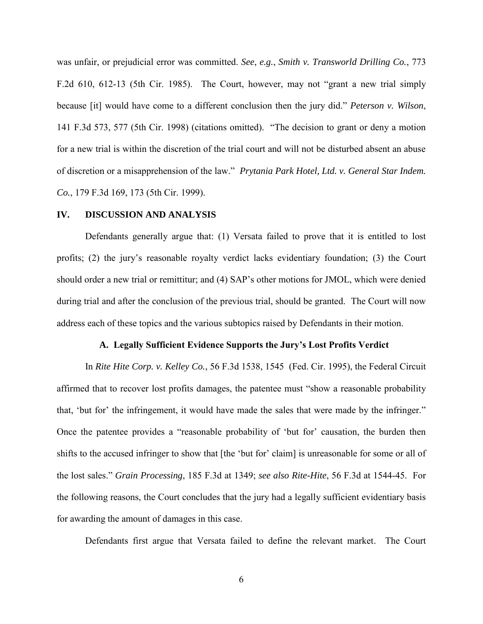was unfair, or prejudicial error was committed. *See*, *e.g.*, *Smith v. Transworld Drilling Co.*, 773 F.2d 610, 612-13 (5th Cir. 1985). The Court, however, may not "grant a new trial simply because [it] would have come to a different conclusion then the jury did." *Peterson v. Wilson*, 141 F.3d 573, 577 (5th Cir. 1998) (citations omitted). "The decision to grant or deny a motion for a new trial is within the discretion of the trial court and will not be disturbed absent an abuse of discretion or a misapprehension of the law.‖ *Prytania Park Hotel, Ltd. v. General Star Indem. Co.*, 179 F.3d 169, 173 (5th Cir. 1999).

#### **IV. DISCUSSION AND ANALYSIS**

Defendants generally argue that: (1) Versata failed to prove that it is entitled to lost profits; (2) the jury's reasonable royalty verdict lacks evidentiary foundation; (3) the Court should order a new trial or remittitur; and (4) SAP's other motions for JMOL, which were denied during trial and after the conclusion of the previous trial, should be granted. The Court will now address each of these topics and the various subtopics raised by Defendants in their motion.

### **A. Legally Sufficient Evidence Supports the Jury's Lost Profits Verdict**

In *Rite Hite Corp. v. Kelley Co.*, 56 F.3d 1538, 1545 (Fed. Cir. 1995), the Federal Circuit affirmed that to recover lost profits damages, the patentee must "show a reasonable probability that, 'but for' the infringement, it would have made the sales that were made by the infringer." Once the patentee provides a "reasonable probability of 'but for' causation, the burden then shifts to the accused infringer to show that [the 'but for' claim] is unreasonable for some or all of the lost sales.‖ *Grain Processing*, 185 F.3d at 1349; *see also Rite-Hite*, 56 F.3d at 1544-45. For the following reasons, the Court concludes that the jury had a legally sufficient evidentiary basis for awarding the amount of damages in this case.

Defendants first argue that Versata failed to define the relevant market. The Court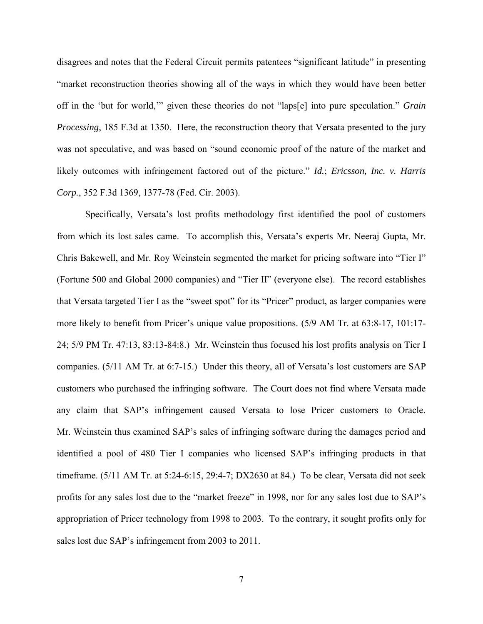disagrees and notes that the Federal Circuit permits patentees "significant latitude" in presenting ―market reconstruction theories showing all of the ways in which they would have been better off in the 'but for world,'" given these theories do not "laps[e] into pure speculation." *Grain Processing*, 185 F.3d at 1350. Here, the reconstruction theory that Versata presented to the jury was not speculative, and was based on "sound economic proof of the nature of the market and likely outcomes with infringement factored out of the picture." *Id.*; *Ericsson, Inc. v. Harris Corp.*, 352 F.3d 1369, 1377-78 (Fed. Cir. 2003).

Specifically, Versata's lost profits methodology first identified the pool of customers from which its lost sales came. To accomplish this, Versata's experts Mr. Neeraj Gupta, Mr. Chris Bakewell, and Mr. Roy Weinstein segmented the market for pricing software into "Tier I" (Fortune 500 and Global 2000 companies) and "Tier II" (everyone else). The record establishes that Versata targeted Tier I as the "sweet spot" for its "Pricer" product, as larger companies were more likely to benefit from Pricer's unique value propositions. (5/9 AM Tr. at 63:8-17, 101:17- 24; 5/9 PM Tr. 47:13, 83:13-84:8.) Mr. Weinstein thus focused his lost profits analysis on Tier I companies. (5/11 AM Tr. at 6:7-15.) Under this theory, all of Versata's lost customers are SAP customers who purchased the infringing software. The Court does not find where Versata made any claim that SAP's infringement caused Versata to lose Pricer customers to Oracle. Mr. Weinstein thus examined SAP's sales of infringing software during the damages period and identified a pool of 480 Tier I companies who licensed SAP's infringing products in that timeframe. (5/11 AM Tr. at 5:24-6:15, 29:4-7; DX2630 at 84.) To be clear, Versata did not seek profits for any sales lost due to the "market freeze" in 1998, nor for any sales lost due to SAP's appropriation of Pricer technology from 1998 to 2003. To the contrary, it sought profits only for sales lost due SAP's infringement from 2003 to 2011.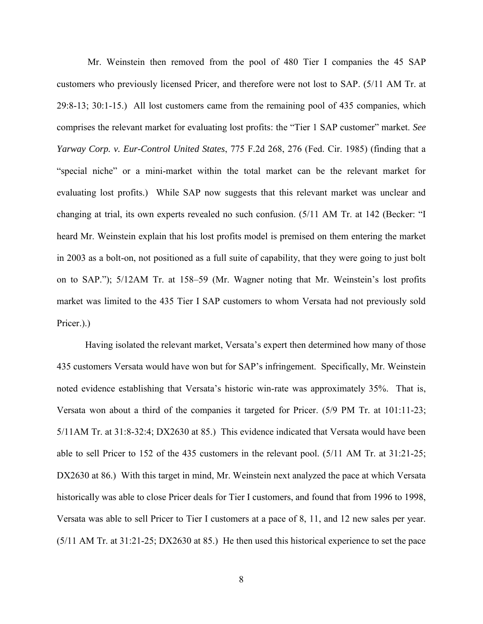Mr. Weinstein then removed from the pool of 480 Tier I companies the 45 SAP customers who previously licensed Pricer, and therefore were not lost to SAP. (5/11 AM Tr. at 29:8-13; 30:1-15.) All lost customers came from the remaining pool of 435 companies, which comprises the relevant market for evaluating lost profits: the "Tier 1 SAP customer" market. *See Yarway Corp. v. Eur-Control United States*, 775 F.2d 268, 276 (Fed. Cir. 1985) (finding that a "special niche" or a mini-market within the total market can be the relevant market for evaluating lost profits.) While SAP now suggests that this relevant market was unclear and changing at trial, its own experts revealed no such confusion.  $(5/11 \text{ AM } \text{Tr. at } 142 \text{ (Becker: "I)}$ heard Mr. Weinstein explain that his lost profits model is premised on them entering the market in 2003 as a bolt-on, not positioned as a full suite of capability, that they were going to just bolt on to SAP."); 5/12AM Tr. at 158–59 (Mr. Wagner noting that Mr. Weinstein's lost profits market was limited to the 435 Tier I SAP customers to whom Versata had not previously sold Pricer.).

Having isolated the relevant market, Versata's expert then determined how many of those 435 customers Versata would have won but for SAP's infringement. Specifically, Mr. Weinstein noted evidence establishing that Versata's historic win-rate was approximately 35%. That is, Versata won about a third of the companies it targeted for Pricer. (5/9 PM Tr. at 101:11-23; 5/11AM Tr. at 31:8-32:4; DX2630 at 85.) This evidence indicated that Versata would have been able to sell Pricer to 152 of the 435 customers in the relevant pool. (5/11 AM Tr. at 31:21-25; DX2630 at 86.) With this target in mind, Mr. Weinstein next analyzed the pace at which Versata historically was able to close Pricer deals for Tier I customers, and found that from 1996 to 1998, Versata was able to sell Pricer to Tier I customers at a pace of 8, 11, and 12 new sales per year. (5/11 AM Tr. at 31:21-25; DX2630 at 85.) He then used this historical experience to set the pace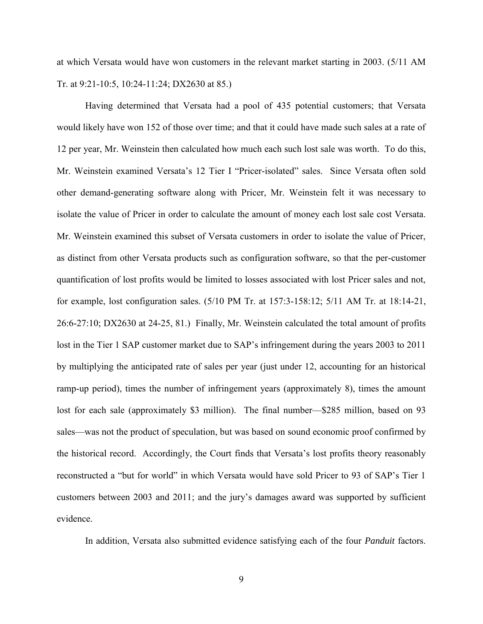at which Versata would have won customers in the relevant market starting in 2003. (5/11 AM Tr. at 9:21-10:5, 10:24-11:24; DX2630 at 85.)

Having determined that Versata had a pool of 435 potential customers; that Versata would likely have won 152 of those over time; and that it could have made such sales at a rate of 12 per year, Mr. Weinstein then calculated how much each such lost sale was worth. To do this, Mr. Weinstein examined Versata's 12 Tier I "Pricer-isolated" sales. Since Versata often sold other demand-generating software along with Pricer, Mr. Weinstein felt it was necessary to isolate the value of Pricer in order to calculate the amount of money each lost sale cost Versata. Mr. Weinstein examined this subset of Versata customers in order to isolate the value of Pricer, as distinct from other Versata products such as configuration software, so that the per-customer quantification of lost profits would be limited to losses associated with lost Pricer sales and not, for example, lost configuration sales. (5/10 PM Tr. at 157:3-158:12; 5/11 AM Tr. at 18:14-21, 26:6-27:10; DX2630 at 24-25, 81.) Finally, Mr. Weinstein calculated the total amount of profits lost in the Tier 1 SAP customer market due to SAP's infringement during the years 2003 to 2011 by multiplying the anticipated rate of sales per year (just under 12, accounting for an historical ramp-up period), times the number of infringement years (approximately 8), times the amount lost for each sale (approximately \$3 million). The final number—\$285 million, based on 93 sales—was not the product of speculation, but was based on sound economic proof confirmed by the historical record. Accordingly, the Court finds that Versata's lost profits theory reasonably reconstructed a "but for world" in which Versata would have sold Pricer to 93 of SAP's Tier 1 customers between 2003 and 2011; and the jury's damages award was supported by sufficient evidence.

In addition, Versata also submitted evidence satisfying each of the four *Panduit* factors.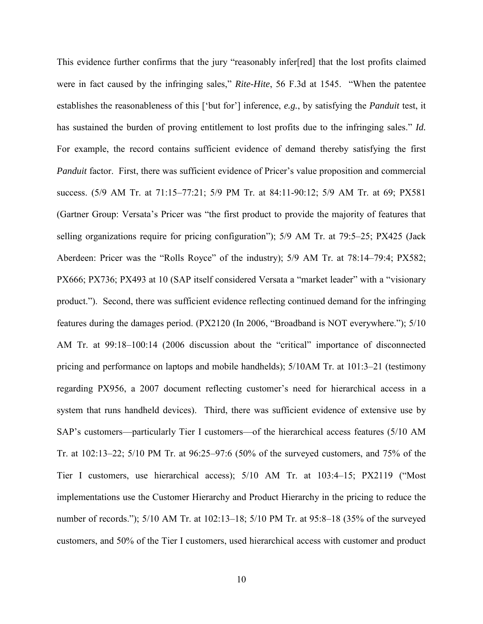This evidence further confirms that the jury "reasonably infer[red] that the lost profits claimed were in fact caused by the infringing sales," Rite-Hite, 56 F.3d at 1545. "When the patentee establishes the reasonableness of this [‗but for'] inference, *e.g.*, by satisfying the *Panduit* test, it has sustained the burden of proving entitlement to lost profits due to the infringing sales." *Id.* For example, the record contains sufficient evidence of demand thereby satisfying the first *Panduit* factor. First, there was sufficient evidence of Pricer's value proposition and commercial success. (5/9 AM Tr. at 71:15–77:21; 5/9 PM Tr. at 84:11-90:12; 5/9 AM Tr. at 69; PX581 (Gartner Group: Versata's Pricer was "the first product to provide the majority of features that selling organizations require for pricing configuration"); 5/9 AM Tr. at 79:5–25; PX425 (Jack Aberdeen: Pricer was the "Rolls Royce" of the industry); 5/9 AM Tr. at 78:14–79:4; PX582; PX666; PX736; PX493 at 10 (SAP itself considered Versata a "market leader" with a "visionary product.‖). Second, there was sufficient evidence reflecting continued demand for the infringing features during the damages period. (PX2120 (In 2006, "Broadband is NOT everywhere."); 5/10 AM Tr. at 99:18–100:14 (2006 discussion about the "critical" importance of disconnected pricing and performance on laptops and mobile handhelds); 5/10AM Tr. at 101:3–21 (testimony regarding PX956, a 2007 document reflecting customer's need for hierarchical access in a system that runs handheld devices). Third, there was sufficient evidence of extensive use by SAP's customers—particularly Tier I customers—of the hierarchical access features (5/10 AM Tr. at 102:13–22; 5/10 PM Tr. at 96:25–97:6 (50% of the surveyed customers, and 75% of the Tier I customers, use hierarchical access);  $5/10$  AM Tr. at  $103:4-15$ ;  $PX2119$  ("Most implementations use the Customer Hierarchy and Product Hierarchy in the pricing to reduce the number of records."); 5/10 AM Tr. at 102:13–18; 5/10 PM Tr. at 95:8–18 (35% of the surveyed customers, and 50% of the Tier I customers, used hierarchical access with customer and product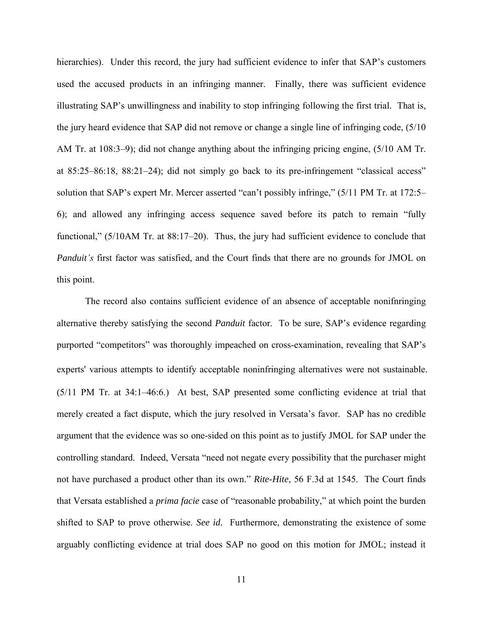hierarchies). Under this record, the jury had sufficient evidence to infer that SAP's customers used the accused products in an infringing manner. Finally, there was sufficient evidence illustrating SAP's unwillingness and inability to stop infringing following the first trial. That is, the jury heard evidence that SAP did not remove or change a single line of infringing code, (5/10 AM Tr. at 108:3–9); did not change anything about the infringing pricing engine, (5/10 AM Tr. at  $85:25-86:18$ ,  $88:21-24$ ); did not simply go back to its pre-infringement "classical access" solution that SAP's expert Mr. Mercer asserted "can't possibly infringe," (5/11 PM Tr. at 172:5– 6); and allowed any infringing access sequence saved before its patch to remain "fully" functional," (5/10AM Tr. at  $88:17-20$ ). Thus, the jury had sufficient evidence to conclude that *Panduit's* first factor was satisfied, and the Court finds that there are no grounds for JMOL on this point.

The record also contains sufficient evidence of an absence of acceptable nonifnringing alternative thereby satisfying the second *Panduit* factor. To be sure, SAP's evidence regarding purported "competitors" was thoroughly impeached on cross-examination, revealing that SAP's experts' various attempts to identify acceptable noninfringing alternatives were not sustainable. (5/11 PM Tr. at 34:1–46:6.) At best, SAP presented some conflicting evidence at trial that merely created a fact dispute, which the jury resolved in Versata's favor. SAP has no credible argument that the evidence was so one-sided on this point as to justify JMOL for SAP under the controlling standard. Indeed, Versata "need not negate every possibility that the purchaser might not have purchased a product other than its own." *Rite-Hite*, 56 F.3d at 1545. The Court finds that Versata established a *prima facie* case of "reasonable probability," at which point the burden shifted to SAP to prove otherwise. *See id.* Furthermore, demonstrating the existence of some arguably conflicting evidence at trial does SAP no good on this motion for JMOL; instead it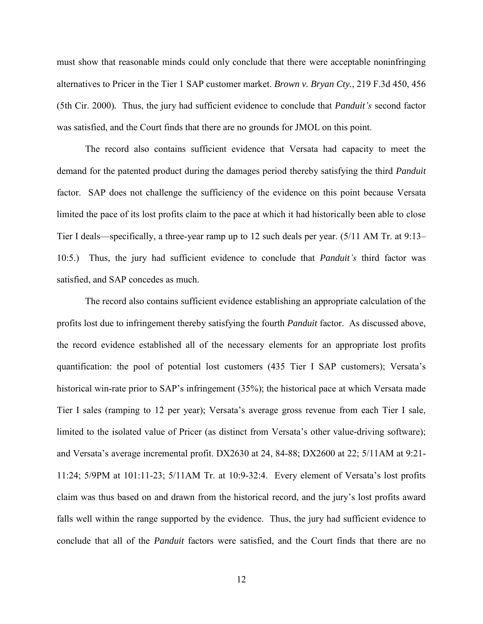must show that reasonable minds could only conclude that there were acceptable noninfringing alternatives to Pricer in the Tier 1 SAP customer market. *Brown v. Bryan Cty.*, 219 F.3d 450, 456 (5th Cir. 2000)*.* Thus, the jury had sufficient evidence to conclude that *Panduit's* second factor was satisfied, and the Court finds that there are no grounds for JMOL on this point.

The record also contains sufficient evidence that Versata had capacity to meet the demand for the patented product during the damages period thereby satisfying the third *Panduit* factor. SAP does not challenge the sufficiency of the evidence on this point because Versata limited the pace of its lost profits claim to the pace at which it had historically been able to close Tier I deals—specifically, a three-year ramp up to 12 such deals per year. (5/11 AM Tr. at 9:13– 10:5.) Thus, the jury had sufficient evidence to conclude that *Panduit's* third factor was satisfied, and SAP concedes as much.

The record also contains sufficient evidence establishing an appropriate calculation of the profits lost due to infringement thereby satisfying the fourth *Panduit* factor. As discussed above, the record evidence established all of the necessary elements for an appropriate lost profits quantification: the pool of potential lost customers (435 Tier I SAP customers); Versata's historical win-rate prior to SAP's infringement (35%); the historical pace at which Versata made Tier I sales (ramping to 12 per year); Versata's average gross revenue from each Tier I sale, limited to the isolated value of Pricer (as distinct from Versata's other value-driving software); and Versata's average incremental profit. DX2630 at 24, 84-88; DX2600 at 22; 5/11AM at 9:21- 11:24; 5/9PM at 101:11-23; 5/11AM Tr. at 10:9-32:4. Every element of Versata's lost profits claim was thus based on and drawn from the historical record, and the jury's lost profits award falls well within the range supported by the evidence. Thus, the jury had sufficient evidence to conclude that all of the *Panduit* factors were satisfied, and the Court finds that there are no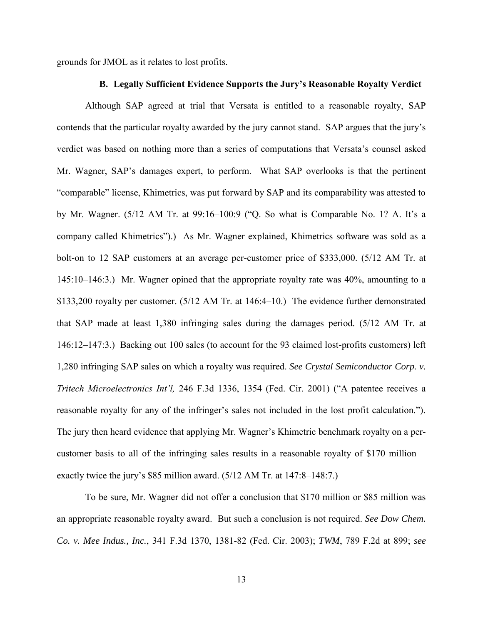grounds for JMOL as it relates to lost profits.

### **B. Legally Sufficient Evidence Supports the Jury's Reasonable Royalty Verdict**

Although SAP agreed at trial that Versata is entitled to a reasonable royalty, SAP contends that the particular royalty awarded by the jury cannot stand. SAP argues that the jury's verdict was based on nothing more than a series of computations that Versata's counsel asked Mr. Wagner, SAP's damages expert, to perform. What SAP overlooks is that the pertinent "comparable" license, Khimetrics, was put forward by SAP and its comparability was attested to by Mr. Wagner.  $(5/12 \text{ AM Tr. at } 99:16-100:9$  ("Q. So what is Comparable No. 1? A. It's a company called Khimetrics‖).) As Mr. Wagner explained, Khimetrics software was sold as a bolt-on to 12 SAP customers at an average per-customer price of \$333,000. (5/12 AM Tr. at 145:10–146:3.) Mr. Wagner opined that the appropriate royalty rate was 40%, amounting to a \$133,200 royalty per customer. (5/12 AM Tr. at 146:4–10.) The evidence further demonstrated that SAP made at least 1,380 infringing sales during the damages period. (5/12 AM Tr. at 146:12–147:3.) Backing out 100 sales (to account for the 93 claimed lost-profits customers) left 1,280 infringing SAP sales on which a royalty was required. *See Crystal Semiconductor Corp. v. Tritech Microelectronics Int'l,* 246 F.3d 1336, 1354 (Fed. Cir. 2001) ("A patentee receives a reasonable royalty for any of the infringer's sales not included in the lost profit calculation."). The jury then heard evidence that applying Mr. Wagner's Khimetric benchmark royalty on a percustomer basis to all of the infringing sales results in a reasonable royalty of \$170 million exactly twice the jury's \$85 million award. (5/12 AM Tr. at 147:8–148:7.)

To be sure, Mr. Wagner did not offer a conclusion that \$170 million or \$85 million was an appropriate reasonable royalty award. But such a conclusion is not required. *See Dow Chem. Co. v. Mee Indus., Inc.*, 341 F.3d 1370, 1381-82 (Fed. Cir. 2003); *TWM*, 789 F.2d at 899; *see*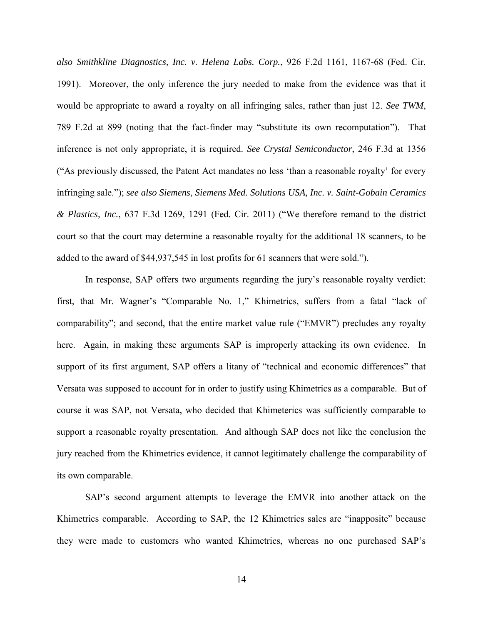*also Smithkline Diagnostics, Inc. v. Helena Labs. Corp.*, 926 F.2d 1161, 1167-68 (Fed. Cir. 1991). Moreover, the only inference the jury needed to make from the evidence was that it would be appropriate to award a royalty on all infringing sales, rather than just 12. *See TWM*, 789 F.2d at 899 (noting that the fact-finder may "substitute its own recomputation"). That inference is not only appropriate, it is required. *See Crystal Semiconductor*, 246 F.3d at 1356 (―As previously discussed, the Patent Act mandates no less ‗than a reasonable royalty' for every infringing sale."); *see also Siemens*, *Siemens Med. Solutions USA, Inc. v. Saint-Gobain Ceramics & Plastics, Inc.*, 637 F.3d 1269, 1291 (Fed. Cir. 2011) (―We therefore remand to the district court so that the court may determine a reasonable royalty for the additional 18 scanners, to be added to the award of \$44,937,545 in lost profits for 61 scanners that were sold.").

In response, SAP offers two arguments regarding the jury's reasonable royalty verdict: first, that Mr. Wagner's "Comparable No. 1," Khimetrics, suffers from a fatal "lack of comparability"; and second, that the entire market value rule ("EMVR") precludes any royalty here. Again, in making these arguments SAP is improperly attacking its own evidence. In support of its first argument, SAP offers a litany of "technical and economic differences" that Versata was supposed to account for in order to justify using Khimetrics as a comparable. But of course it was SAP, not Versata, who decided that Khimeterics was sufficiently comparable to support a reasonable royalty presentation. And although SAP does not like the conclusion the jury reached from the Khimetrics evidence, it cannot legitimately challenge the comparability of its own comparable.

SAP's second argument attempts to leverage the EMVR into another attack on the Khimetrics comparable. According to SAP, the 12 Khimetrics sales are "inapposite" because they were made to customers who wanted Khimetrics, whereas no one purchased SAP's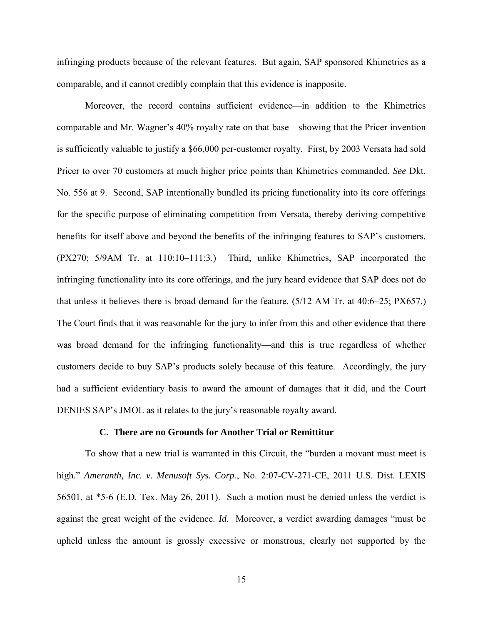infringing products because of the relevant features. But again, SAP sponsored Khimetrics as a comparable, and it cannot credibly complain that this evidence is inapposite.

Moreover, the record contains sufficient evidence—in addition to the Khimetrics comparable and Mr. Wagner's 40% royalty rate on that base—showing that the Pricer invention is sufficiently valuable to justify a \$66,000 per-customer royalty. First, by 2003 Versata had sold Pricer to over 70 customers at much higher price points than Khimetrics commanded. *See* Dkt. No. 556 at 9. Second, SAP intentionally bundled its pricing functionality into its core offerings for the specific purpose of eliminating competition from Versata, thereby deriving competitive benefits for itself above and beyond the benefits of the infringing features to SAP's customers. (PX270; 5/9AM Tr. at 110:10–111:3.) Third, unlike Khimetrics, SAP incorporated the infringing functionality into its core offerings, and the jury heard evidence that SAP does not do that unless it believes there is broad demand for the feature. (5/12 AM Tr. at 40:6–25; PX657.) The Court finds that it was reasonable for the jury to infer from this and other evidence that there was broad demand for the infringing functionality—and this is true regardless of whether customers decide to buy SAP's products solely because of this feature. Accordingly, the jury had a sufficient evidentiary basis to award the amount of damages that it did, and the Court DENIES SAP's JMOL as it relates to the jury's reasonable royalty award.

### **C. There are no Grounds for Another Trial or Remittitur**

To show that a new trial is warranted in this Circuit, the "burden a movant must meet is high." *Ameranth, Inc. v. Menusoft Sys. Corp.*, No. 2:07-CV-271-CE, 2011 U.S. Dist. LEXIS 56501, at \*5-6 (E.D. Tex. May 26, 2011). Such a motion must be denied unless the verdict is against the great weight of the evidence. *Id*. Moreover, a verdict awarding damages "must be upheld unless the amount is grossly excessive or monstrous, clearly not supported by the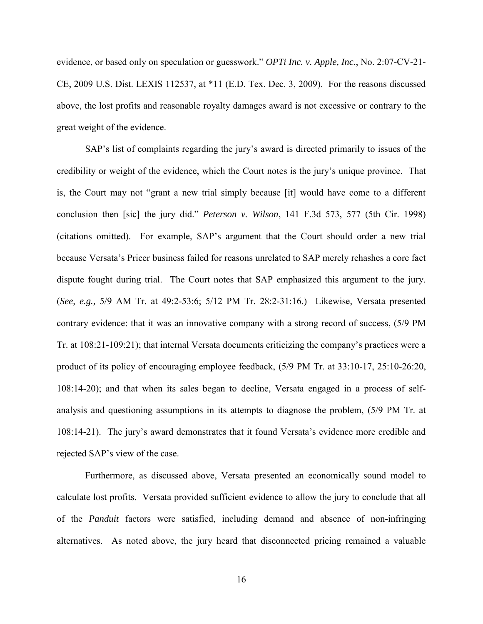evidence, or based only on speculation or guesswork.‖ *OPTi Inc. v. Apple, Inc.*, No. 2:07-CV-21- CE, 2009 U.S. Dist. LEXIS 112537, at \*11 (E.D. Tex. Dec. 3, 2009). For the reasons discussed above, the lost profits and reasonable royalty damages award is not excessive or contrary to the great weight of the evidence.

SAP's list of complaints regarding the jury's award is directed primarily to issues of the credibility or weight of the evidence, which the Court notes is the jury's unique province. That is, the Court may not "grant a new trial simply because [it] would have come to a different conclusion then [sic] the jury did.‖ *Peterson v. Wilson*, 141 F.3d 573, 577 (5th Cir. 1998) (citations omitted). For example, SAP's argument that the Court should order a new trial because Versata's Pricer business failed for reasons unrelated to SAP merely rehashes a core fact dispute fought during trial. The Court notes that SAP emphasized this argument to the jury. (*See, e.g.,* 5/9 AM Tr. at 49:2-53:6; 5/12 PM Tr. 28:2-31:16.) Likewise, Versata presented contrary evidence: that it was an innovative company with a strong record of success, (5/9 PM Tr. at 108:21-109:21); that internal Versata documents criticizing the company's practices were a product of its policy of encouraging employee feedback, (5/9 PM Tr. at 33:10-17, 25:10-26:20, 108:14-20); and that when its sales began to decline, Versata engaged in a process of selfanalysis and questioning assumptions in its attempts to diagnose the problem, (5/9 PM Tr. at 108:14-21). The jury's award demonstrates that it found Versata's evidence more credible and rejected SAP's view of the case.

Furthermore, as discussed above, Versata presented an economically sound model to calculate lost profits. Versata provided sufficient evidence to allow the jury to conclude that all of the *Panduit* factors were satisfied, including demand and absence of non-infringing alternatives. As noted above, the jury heard that disconnected pricing remained a valuable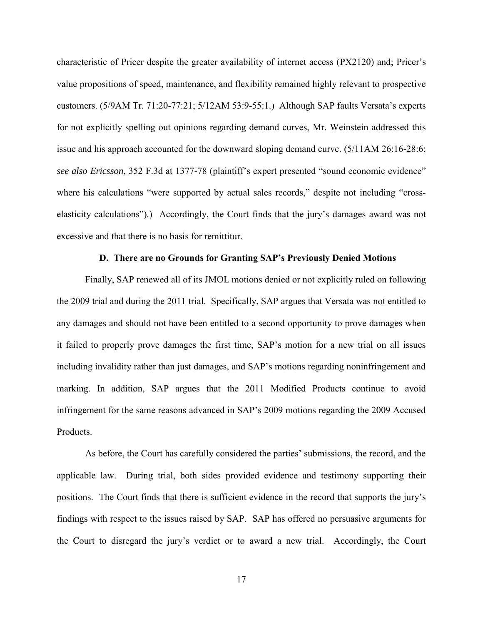characteristic of Pricer despite the greater availability of internet access (PX2120) and; Pricer's value propositions of speed, maintenance, and flexibility remained highly relevant to prospective customers. (5/9AM Tr. 71:20-77:21; 5/12AM 53:9-55:1.) Although SAP faults Versata's experts for not explicitly spelling out opinions regarding demand curves, Mr. Weinstein addressed this issue and his approach accounted for the downward sloping demand curve. (5/11AM 26:16-28:6; *see also Ericsson*, 352 F.3d at 1377-78 (plaintiff's expert presented "sound economic evidence" where his calculations "were supported by actual sales records," despite not including "crosselasticity calculations").) Accordingly, the Court finds that the jury's damages award was not excessive and that there is no basis for remittitur.

## **D. There are no Grounds for Granting SAP's Previously Denied Motions**

Finally, SAP renewed all of its JMOL motions denied or not explicitly ruled on following the 2009 trial and during the 2011 trial. Specifically, SAP argues that Versata was not entitled to any damages and should not have been entitled to a second opportunity to prove damages when it failed to properly prove damages the first time, SAP's motion for a new trial on all issues including invalidity rather than just damages, and SAP's motions regarding noninfringement and marking. In addition, SAP argues that the 2011 Modified Products continue to avoid infringement for the same reasons advanced in SAP's 2009 motions regarding the 2009 Accused Products.

As before, the Court has carefully considered the parties' submissions, the record, and the applicable law. During trial, both sides provided evidence and testimony supporting their positions. The Court finds that there is sufficient evidence in the record that supports the jury's findings with respect to the issues raised by SAP. SAP has offered no persuasive arguments for the Court to disregard the jury's verdict or to award a new trial. Accordingly, the Court